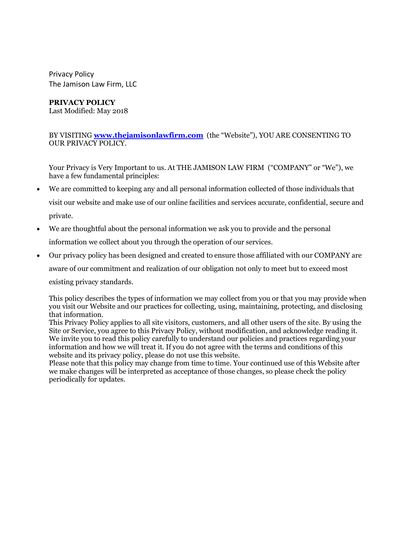Privacy Policy The Jamison Law Firm, LLC

## **PRIVACY POLICY**

Last Modified: May 2018

BY VISITING **www.thejamisonlawfirm.com** (the "Website"), YOU ARE CONSENTING TO OUR PRIVACY POLICY.

Your Privacy is Very Important to us. At THE JAMISON LAW FIRM ("COMPANY" or "We"), we have a few fundamental principles:

- We are committed to keeping any and all personal information collected of those individuals that visit our website and make use of our online facilities and services accurate, confidential, secure and private.
- We are thoughtful about the personal information we ask you to provide and the personal information we collect about you through the operation of our services.
- Our privacy policy has been designed and created to ensure those affiliated with our COMPANY are

aware of our commitment and realization of our obligation not only to meet but to exceed most

existing privacy standards.

This policy describes the types of information we may collect from you or that you may provide when you visit our Website and our practices for collecting, using, maintaining, protecting, and disclosing that information.

This Privacy Policy applies to all site visitors, customers, and all other users of the site. By using the Site or Service, you agree to this Privacy Policy, without modification, and acknowledge reading it. We invite you to read this policy carefully to understand our policies and practices regarding your information and how we will treat it. If you do not agree with the terms and conditions of this website and its privacy policy, please do not use this website.

Please note that this policy may change from time to time. Your continued use of this Website after we make changes will be interpreted as acceptance of those changes, so please check the policy periodically for updates.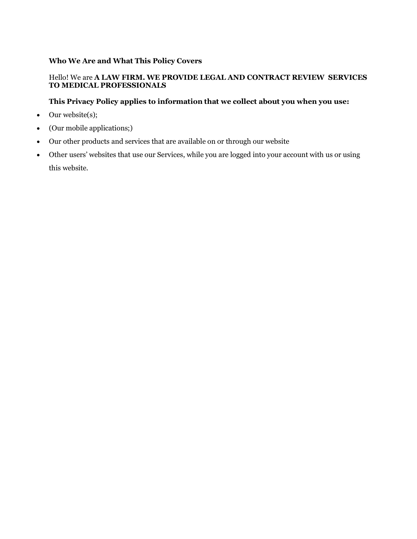# **Who We Are and What This Policy Covers**

# Hello! We are **A LAW FIRM. WE PROVIDE LEGAL AND CONTRACT REVIEW SERVICES TO MEDICAL PROFESSIONALS**

# **This Privacy Policy applies to information that we collect about you when you use:**

- Our website(s);
- (Our mobile applications;)
- Our other products and services that are available on or through our website
- Other users' websites that use our Services, while you are logged into your account with us or using this website.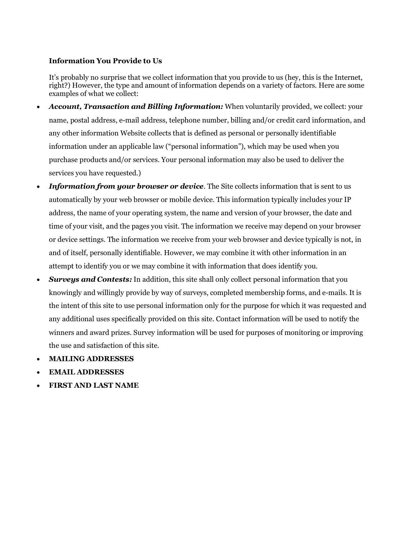#### **Information You Provide to Us**

It's probably no surprise that we collect information that you provide to us (hey, this is the Internet, right?) However, the type and amount of information depends on a variety of factors. Here are some examples of what we collect:

- *Account, Transaction and Billing Information:* When voluntarily provided, we collect: your name, postal address, e-mail address, telephone number, billing and/or credit card information, and any other information Website collects that is defined as personal or personally identifiable information under an applicable law ("personal information"), which may be used when you purchase products and/or services. Your personal information may also be used to deliver the services you have requested.)
- *Information from your browser or device.* The Site collects information that is sent to us automatically by your web browser or mobile device. This information typically includes your IP address, the name of your operating system, the name and version of your browser, the date and time of your visit, and the pages you visit. The information we receive may depend on your browser or device settings. The information we receive from your web browser and device typically is not, in and of itself, personally identifiable. However, we may combine it with other information in an attempt to identify you or we may combine it with information that does identify you.
- *Surveys and Contests:* In addition, this site shall only collect personal information that you knowingly and willingly provide by way of surveys, completed membership forms, and e-mails. It is the intent of this site to use personal information only for the purpose for which it was requested and any additional uses specifically provided on this site. Contact information will be used to notify the winners and award prizes. Survey information will be used for purposes of monitoring or improving the use and satisfaction of this site.
- **MAILING ADDRESSES**
- **EMAIL ADDRESSES**
- **FIRST AND LAST NAME**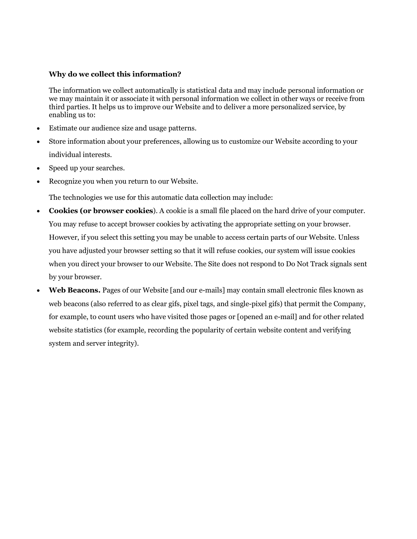### **Why do we collect this information?**

The information we collect automatically is statistical data and may include personal information or we may maintain it or associate it with personal information we collect in other ways or receive from third parties. It helps us to improve our Website and to deliver a more personalized service, by enabling us to:

- Estimate our audience size and usage patterns.
- Store information about your preferences, allowing us to customize our Website according to your individual interests.
- Speed up your searches.
- Recognize you when you return to our Website.

The technologies we use for this automatic data collection may include:

- **Cookies (or browser cookies**). A cookie is a small file placed on the hard drive of your computer. You may refuse to accept browser cookies by activating the appropriate setting on your browser. However, if you select this setting you may be unable to access certain parts of our Website. Unless you have adjusted your browser setting so that it will refuse cookies, our system will issue cookies when you direct your browser to our Website. The Site does not respond to Do Not Track signals sent by your browser.
- **Web Beacons.** Pages of our Website [and our e-mails] may contain small electronic files known as web beacons (also referred to as clear gifs, pixel tags, and single-pixel gifs) that permit the Company, for example, to count users who have visited those pages or [opened an e-mail] and for other related website statistics (for example, recording the popularity of certain website content and verifying system and server integrity).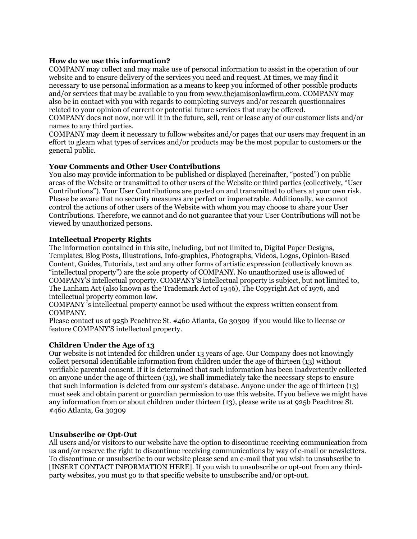### **How do we use this information?**

COMPANY may collect and may make use of personal information to assist in the operation of our website and to ensure delivery of the services you need and request. At times, we may find it necessary to use personal information as a means to keep you informed of other possible products and/or services that may be available to you from www.thejamisonlawfirm.com. COMPANY may also be in contact with you with regards to completing surveys and/or research questionnaires related to your opinion of current or potential future services that may be offered.

COMPANY does not now, nor will it in the future, sell, rent or lease any of our customer lists and/or names to any third parties.

COMPANY may deem it necessary to follow websites and/or pages that our users may frequent in an effort to gleam what types of services and/or products may be the most popular to customers or the general public.

## **Your Comments and Other User Contributions**

You also may provide information to be published or displayed (hereinafter, "posted") on public areas of the Website or transmitted to other users of the Website or third parties (collectively, "User Contributions"). Your User Contributions are posted on and transmitted to others at your own risk. Please be aware that no security measures are perfect or impenetrable. Additionally, we cannot control the actions of other users of the Website with whom you may choose to share your User Contributions. Therefore, we cannot and do not guarantee that your User Contributions will not be viewed by unauthorized persons.

## **Intellectual Property Rights**

The information contained in this site, including, but not limited to, Digital Paper Designs, Templates, Blog Posts, Illustrations, Info-graphics, Photographs, Videos, Logos, Opinion-Based Content, Guides, Tutorials, text and any other forms of artistic expression (collectively known as "intellectual property") are the sole property of COMPANY. No unauthorized use is allowed of COMPANY'S intellectual property. COMPANY'S intellectual property is subject, but not limited to, The Lanham Act (also known as the Trademark Act of 1946), The Copyright Act of 1976, and intellectual property common law.

COMPANY 's intellectual property cannot be used without the express written consent from COMPANY.

Please contact us at 925b Peachtree St. #460 Atlanta, Ga 30309 if you would like to license or feature COMPANY'S intellectual property.

#### **Children Under the Age of 13**

Our website is not intended for children under 13 years of age. Our Company does not knowingly collect personal identifiable information from children under the age of thirteen (13) without verifiable parental consent. If it is determined that such information has been inadvertently collected on anyone under the age of thirteen (13), we shall immediately take the necessary steps to ensure that such information is deleted from our system's database. Anyone under the age of thirteen (13) must seek and obtain parent or guardian permission to use this website. If you believe we might have any information from or about children under thirteen (13), please write us at 925b Peachtree St. #460 Atlanta, Ga 30309

#### **Unsubscribe or Opt-Out**

All users and/or visitors to our website have the option to discontinue receiving communication from us and/or reserve the right to discontinue receiving communications by way of e-mail or newsletters. To discontinue or unsubscribe to our website please send an e-mail that you wish to unsubscribe to [INSERT CONTACT INFORMATION HERE]. If you wish to unsubscribe or opt-out from any thirdparty websites, you must go to that specific website to unsubscribe and/or opt-out.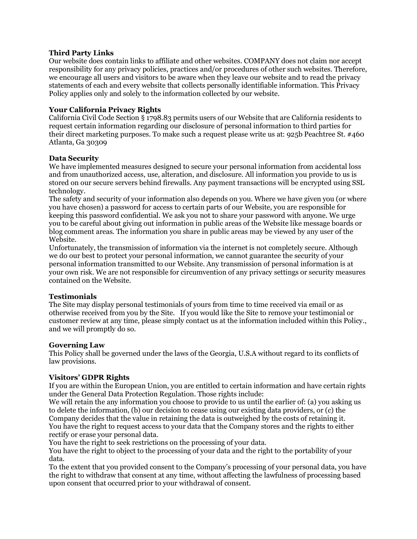## **Third Party Links**

Our website does contain links to affiliate and other websites. COMPANY does not claim nor accept responsibility for any privacy policies, practices and/or procedures of other such websites. Therefore, we encourage all users and visitors to be aware when they leave our website and to read the privacy statements of each and every website that collects personally identifiable information. This Privacy Policy applies only and solely to the information collected by our website.

## **Your California Privacy Rights**

California Civil Code Section § 1798.83 permits users of our Website that are California residents to request certain information regarding our disclosure of personal information to third parties for their direct marketing purposes. To make such a request please write us at: 925b Peachtree St. #460 Atlanta, Ga 30309

## **Data Security**

We have implemented measures designed to secure your personal information from accidental loss and from unauthorized access, use, alteration, and disclosure. All information you provide to us is stored on our secure servers behind firewalls. Any payment transactions will be encrypted using SSL technology.

The safety and security of your information also depends on you. Where we have given you (or where you have chosen) a password for access to certain parts of our Website, you are responsible for keeping this password confidential. We ask you not to share your password with anyone. We urge you to be careful about giving out information in public areas of the Website like message boards or blog comment areas. The information you share in public areas may be viewed by any user of the Website.

Unfortunately, the transmission of information via the internet is not completely secure. Although we do our best to protect your personal information, we cannot guarantee the security of your personal information transmitted to our Website. Any transmission of personal information is at your own risk. We are not responsible for circumvention of any privacy settings or security measures contained on the Website.

# **Testimonials**

The Site may display personal testimonials of yours from time to time received via email or as otherwise received from you by the Site. If you would like the Site to remove your testimonial or customer review at any time, please simply contact us at the information included within this Policy., and we will promptly do so.

#### **Governing Law**

This Policy shall be governed under the laws of the Georgia, U.S.A without regard to its conflicts of law provisions.

# **Visitors' GDPR Rights**

If you are within the European Union, you are entitled to certain information and have certain rights under the General Data Protection Regulation. Those rights include:

We will retain the any information you choose to provide to us until the earlier of: (a) you asking us to delete the information, (b) our decision to cease using our existing data providers, or (c) the Company decides that the value in retaining the data is outweighed by the costs of retaining it. You have the right to request access to your data that the Company stores and the rights to either rectify or erase your personal data.

You have the right to seek restrictions on the processing of your data.

You have the right to object to the processing of your data and the right to the portability of your data.

To the extent that you provided consent to the Company's processing of your personal data, you have the right to withdraw that consent at any time, without affecting the lawfulness of processing based upon consent that occurred prior to your withdrawal of consent.